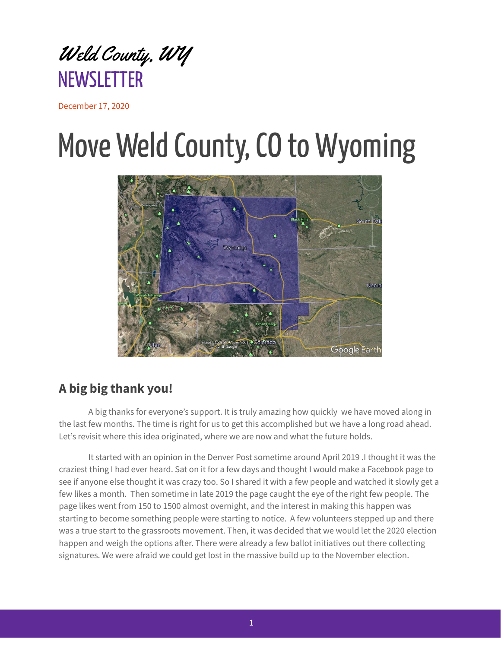

December 17, 2020

## Move Weld County, CO to Wyoming



## **A big big thank you!**

A big thanks for everyone's support. It is truly amazing how quickly we have moved along in the last few months. The time is right for us to get this accomplished but we have a long road ahead. Let's revisit where this idea originated, where we are now and what the future holds.

It started with an opinion in the Denver Post sometime around April 2019 .I thought it was the craziest thing I had ever heard. Sat on it for a few days and thought I would make a Facebook page to see if anyone else thought it was crazy too. So I shared it with a few people and watched it slowly get a few likes a month. Then sometime in late 2019 the page caught the eye of the right few people. The page likes went from 150 to 1500 almost overnight, and the interest in making this happen was starting to become something people were starting to notice. A few volunteers stepped up and there was a true start to the grassroots movement. Then, it was decided that we would let the 2020 election happen and weigh the options after. There were already a few ballot initiatives out there collecting signatures. We were afraid we could get lost in the massive build up to the November election.